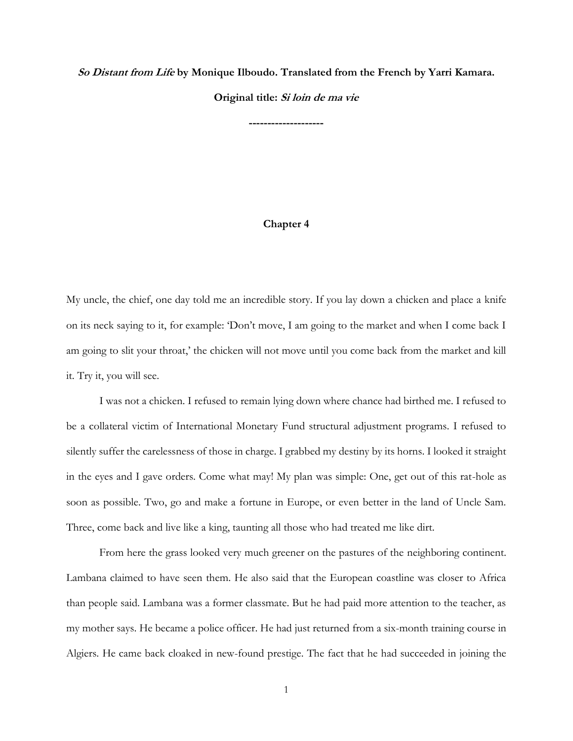**So Distant from Life by Monique Ilboudo. Translated from the French by Yarri Kamara.** 

**Original title: Si loin de ma vie**

**--------------------**

## **Chapter 4**

My uncle, the chief, one day told me an incredible story. If you lay down a chicken and place a knife on its neck saying to it, for example: 'Don't move, I am going to the market and when I come back I am going to slit your throat,' the chicken will not move until you come back from the market and kill it. Try it, you will see.

I was not a chicken. I refused to remain lying down where chance had birthed me. I refused to be a collateral victim of International Monetary Fund structural adjustment programs. I refused to silently suffer the carelessness of those in charge. I grabbed my destiny by its horns. I looked it straight in the eyes and I gave orders. Come what may! My plan was simple: One, get out of this rat-hole as soon as possible. Two, go and make a fortune in Europe, or even better in the land of Uncle Sam. Three, come back and live like a king, taunting all those who had treated me like dirt.

From here the grass looked very much greener on the pastures of the neighboring continent. Lambana claimed to have seen them. He also said that the European coastline was closer to Africa than people said. Lambana was a former classmate. But he had paid more attention to the teacher, as my mother says. He became a police officer. He had just returned from a six-month training course in Algiers. He came back cloaked in new-found prestige. The fact that he had succeeded in joining the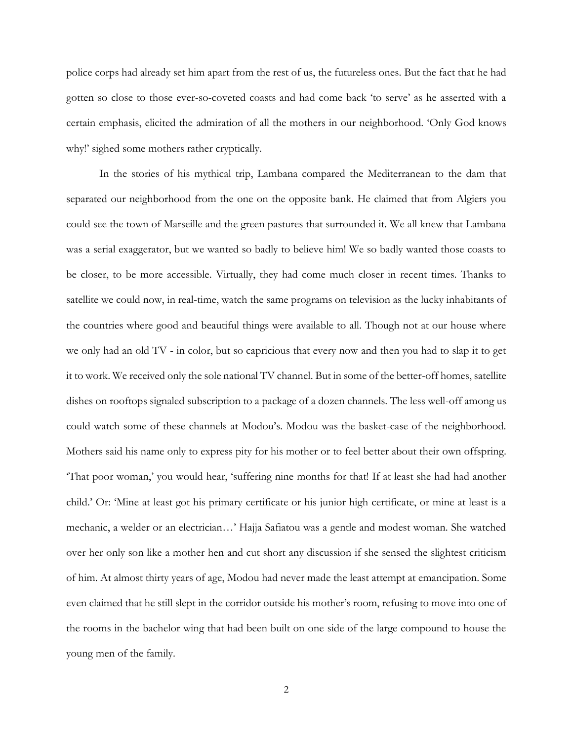police corps had already set him apart from the rest of us, the futureless ones. But the fact that he had gotten so close to those ever-so-coveted coasts and had come back 'to serve' as he asserted with a certain emphasis, elicited the admiration of all the mothers in our neighborhood. 'Only God knows why!' sighed some mothers rather cryptically.

In the stories of his mythical trip, Lambana compared the Mediterranean to the dam that separated our neighborhood from the one on the opposite bank. He claimed that from Algiers you could see the town of Marseille and the green pastures that surrounded it. We all knew that Lambana was a serial exaggerator, but we wanted so badly to believe him! We so badly wanted those coasts to be closer, to be more accessible. Virtually, they had come much closer in recent times. Thanks to satellite we could now, in real-time, watch the same programs on television as the lucky inhabitants of the countries where good and beautiful things were available to all. Though not at our house where we only had an old TV - in color, but so capricious that every now and then you had to slap it to get it to work. We received only the sole national TV channel. But in some of the better-off homes, satellite dishes on rooftops signaled subscription to a package of a dozen channels. The less well-off among us could watch some of these channels at Modou's. Modou was the basket-case of the neighborhood. Mothers said his name only to express pity for his mother or to feel better about their own offspring. 'That poor woman,' you would hear, 'suffering nine months for that! If at least she had had another child.' Or: 'Mine at least got his primary certificate or his junior high certificate, or mine at least is a mechanic, a welder or an electrician…' Hajja Safiatou was a gentle and modest woman. She watched over her only son like a mother hen and cut short any discussion if she sensed the slightest criticism of him. At almost thirty years of age, Modou had never made the least attempt at emancipation. Some even claimed that he still slept in the corridor outside his mother's room, refusing to move into one of the rooms in the bachelor wing that had been built on one side of the large compound to house the young men of the family.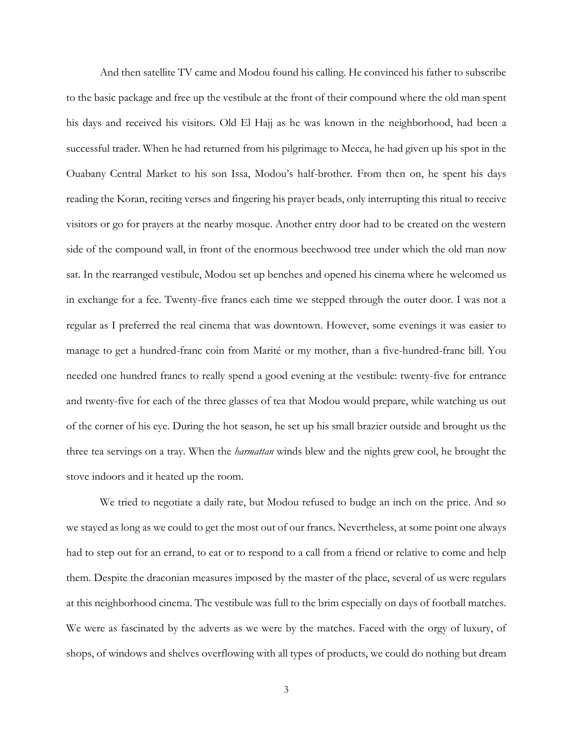And then satellite TV came and Modou found his calling. He convinced his father to subscribe to the basic package and free up the vestibule at the front of their compound where the old man spent his days and received his visitors. Old El Hajj as he was known in the neighborhood, had been a successful trader. When he had returned from his pilgrimage to Mecca, he had given up his spot in the Ouabany Central Market to his son Issa, Modou's half-brother. From then on, he spent his days reading the Koran, reciting verses and fingering his prayer beads, only interrupting this ritual to receive visitors or go for prayers at the nearby mosque. Another entry door had to be created on the western side of the compound wall, in front of the enormous beechwood tree under which the old man now sat. In the rearranged vestibule, Modou set up benches and opened his cinema where he welcomed us in exchange for a fee. Twenty-five francs each time we stepped through the outer door. I was not a regular as I preferred the real cinema that was downtown. However, some evenings it was easier to manage to get a hundred-franc coin from Marité or my mother, than a five-hundred-franc bill. You needed one hundred francs to really spend a good evening at the vestibule: twenty-five for entrance and twenty-five for each of the three glasses of tea that Modou would prepare, while watching us out of the corner of his eye. During the hot season, he set up his small brazier outside and brought us the three tea servings on a tray. When the *harmattan* winds blew and the nights grew cool, he brought the stove indoors and it heated up the room.

We tried to negotiate a daily rate, but Modou refused to budge an inch on the price. And so we stayed as long as we could to get the most out of our francs. Nevertheless, at some point one always had to step out for an errand, to eat or to respond to a call from a friend or relative to come and help them. Despite the draconian measures imposed by the master of the place, several of us were regulars at this neighborhood cinema. The vestibule was full to the brim especially on days of football matches. We were as fascinated by the adverts as we were by the matches. Faced with the orgy of luxury, of shops, of windows and shelves overflowing with all types of products, we could do nothing but dream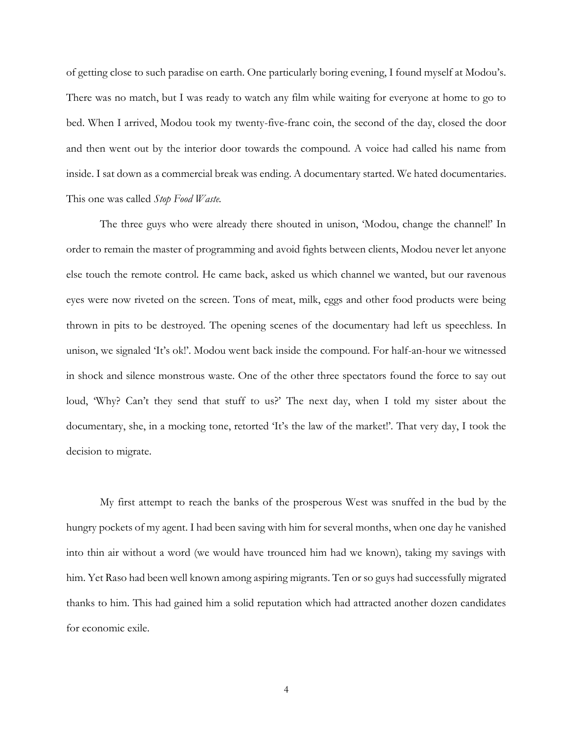of getting close to such paradise on earth. One particularly boring evening, I found myself at Modou's. There was no match, but I was ready to watch any film while waiting for everyone at home to go to bed. When I arrived, Modou took my twenty-five-franc coin, the second of the day, closed the door and then went out by the interior door towards the compound. A voice had called his name from inside. I sat down as a commercial break was ending. A documentary started. We hated documentaries. This one was called *Stop Food Waste.*

The three guys who were already there shouted in unison, 'Modou, change the channel!' In order to remain the master of programming and avoid fights between clients, Modou never let anyone else touch the remote control. He came back, asked us which channel we wanted, but our ravenous eyes were now riveted on the screen. Tons of meat, milk, eggs and other food products were being thrown in pits to be destroyed. The opening scenes of the documentary had left us speechless. In unison, we signaled 'It's ok!'. Modou went back inside the compound. For half-an-hour we witnessed in shock and silence monstrous waste. One of the other three spectators found the force to say out loud, 'Why? Can't they send that stuff to us?' The next day, when I told my sister about the documentary, she, in a mocking tone, retorted 'It's the law of the market!'. That very day, I took the decision to migrate.

My first attempt to reach the banks of the prosperous West was snuffed in the bud by the hungry pockets of my agent. I had been saving with him for several months, when one day he vanished into thin air without a word (we would have trounced him had we known), taking my savings with him. Yet Raso had been well known among aspiring migrants. Ten or so guys had successfully migrated thanks to him. This had gained him a solid reputation which had attracted another dozen candidates for economic exile.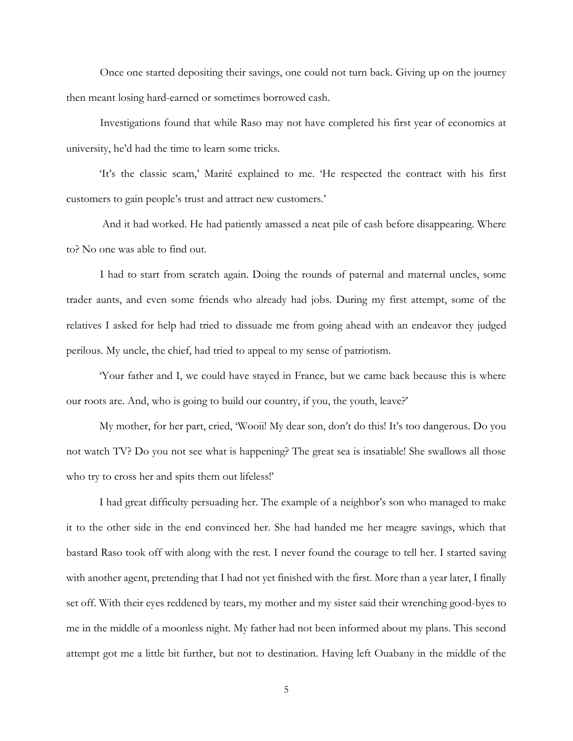Once one started depositing their savings, one could not turn back. Giving up on the journey then meant losing hard-earned or sometimes borrowed cash.

Investigations found that while Raso may not have completed his first year of economics at university, he'd had the time to learn some tricks.

'It's the classic scam,' Marité explained to me. 'He respected the contract with his first customers to gain people's trust and attract new customers.'

And it had worked. He had patiently amassed a neat pile of cash before disappearing. Where to? No one was able to find out.

I had to start from scratch again. Doing the rounds of paternal and maternal uncles, some trader aunts, and even some friends who already had jobs. During my first attempt, some of the relatives I asked for help had tried to dissuade me from going ahead with an endeavor they judged perilous. My uncle, the chief, had tried to appeal to my sense of patriotism.

'Your father and I, we could have stayed in France, but we came back because this is where our roots are. And, who is going to build our country, if you, the youth, leave?'

My mother, for her part, cried, 'Wooii! My dear son, don't do this! It's too dangerous. Do you not watch TV? Do you not see what is happening? The great sea is insatiable! She swallows all those who try to cross her and spits them out lifeless!'

I had great difficulty persuading her. The example of a neighbor's son who managed to make it to the other side in the end convinced her. She had handed me her meagre savings, which that bastard Raso took off with along with the rest. I never found the courage to tell her. I started saving with another agent, pretending that I had not yet finished with the first. More than a year later, I finally set off. With their eyes reddened by tears, my mother and my sister said their wrenching good-byes to me in the middle of a moonless night. My father had not been informed about my plans. This second attempt got me a little bit further, but not to destination. Having left Ouabany in the middle of the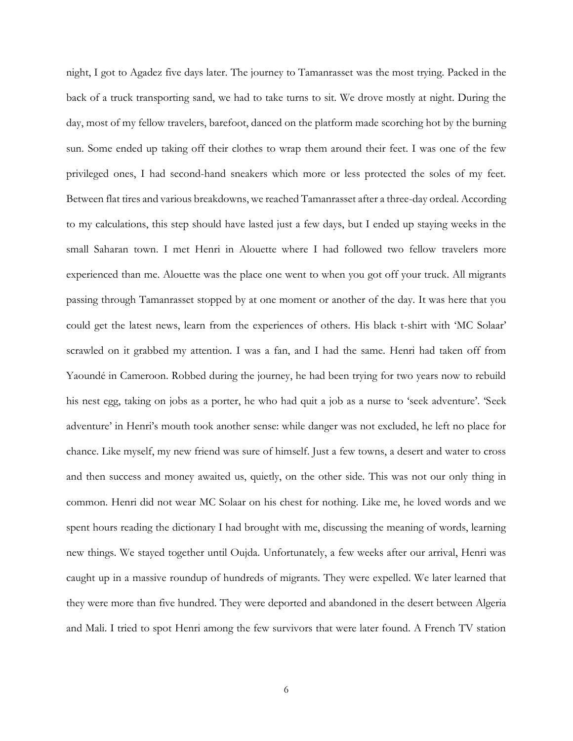night, I got to Agadez five days later. The journey to Tamanrasset was the most trying. Packed in the back of a truck transporting sand, we had to take turns to sit. We drove mostly at night. During the day, most of my fellow travelers, barefoot, danced on the platform made scorching hot by the burning sun. Some ended up taking off their clothes to wrap them around their feet. I was one of the few privileged ones, I had second-hand sneakers which more or less protected the soles of my feet. Between flat tires and various breakdowns, we reached Tamanrasset after a three-day ordeal. According to my calculations, this step should have lasted just a few days, but I ended up staying weeks in the small Saharan town. I met Henri in Alouette where I had followed two fellow travelers more experienced than me. Alouette was the place one went to when you got off your truck. All migrants passing through Tamanrasset stopped by at one moment or another of the day. It was here that you could get the latest news, learn from the experiences of others. His black t-shirt with 'MC Solaar' scrawled on it grabbed my attention. I was a fan, and I had the same. Henri had taken off from Yaoundé in Cameroon. Robbed during the journey, he had been trying for two years now to rebuild his nest egg, taking on jobs as a porter, he who had quit a job as a nurse to 'seek adventure'. 'Seek adventure' in Henri's mouth took another sense: while danger was not excluded, he left no place for chance. Like myself, my new friend was sure of himself. Just a few towns, a desert and water to cross and then success and money awaited us, quietly, on the other side. This was not our only thing in common. Henri did not wear MC Solaar on his chest for nothing. Like me, he loved words and we spent hours reading the dictionary I had brought with me, discussing the meaning of words, learning new things. We stayed together until Oujda. Unfortunately, a few weeks after our arrival, Henri was caught up in a massive roundup of hundreds of migrants. They were expelled. We later learned that they were more than five hundred. They were deported and abandoned in the desert between Algeria and Mali. I tried to spot Henri among the few survivors that were later found. A French TV station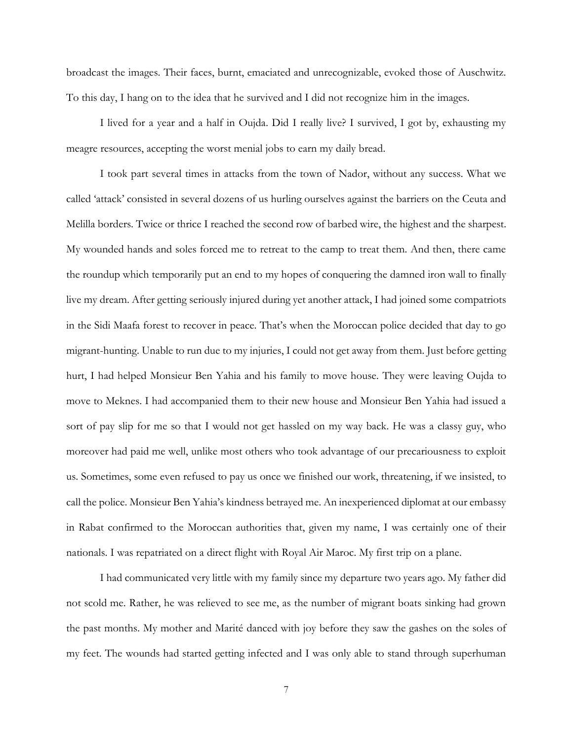broadcast the images. Their faces, burnt, emaciated and unrecognizable, evoked those of Auschwitz. To this day, I hang on to the idea that he survived and I did not recognize him in the images.

I lived for a year and a half in Oujda. Did I really live? I survived, I got by, exhausting my meagre resources, accepting the worst menial jobs to earn my daily bread.

I took part several times in attacks from the town of Nador, without any success. What we called 'attack' consisted in several dozens of us hurling ourselves against the barriers on the Ceuta and Melilla borders. Twice or thrice I reached the second row of barbed wire, the highest and the sharpest. My wounded hands and soles forced me to retreat to the camp to treat them. And then, there came the roundup which temporarily put an end to my hopes of conquering the damned iron wall to finally live my dream. After getting seriously injured during yet another attack, I had joined some compatriots in the Sidi Maafa forest to recover in peace. That's when the Moroccan police decided that day to go migrant-hunting. Unable to run due to my injuries, I could not get away from them. Just before getting hurt, I had helped Monsieur Ben Yahia and his family to move house. They were leaving Oujda to move to Meknes. I had accompanied them to their new house and Monsieur Ben Yahia had issued a sort of pay slip for me so that I would not get hassled on my way back. He was a classy guy, who moreover had paid me well, unlike most others who took advantage of our precariousness to exploit us. Sometimes, some even refused to pay us once we finished our work, threatening, if we insisted, to call the police. Monsieur Ben Yahia's kindness betrayed me. An inexperienced diplomat at our embassy in Rabat confirmed to the Moroccan authorities that, given my name, I was certainly one of their nationals. I was repatriated on a direct flight with Royal Air Maroc. My first trip on a plane.

I had communicated very little with my family since my departure two years ago. My father did not scold me. Rather, he was relieved to see me, as the number of migrant boats sinking had grown the past months. My mother and Marité danced with joy before they saw the gashes on the soles of my feet. The wounds had started getting infected and I was only able to stand through superhuman